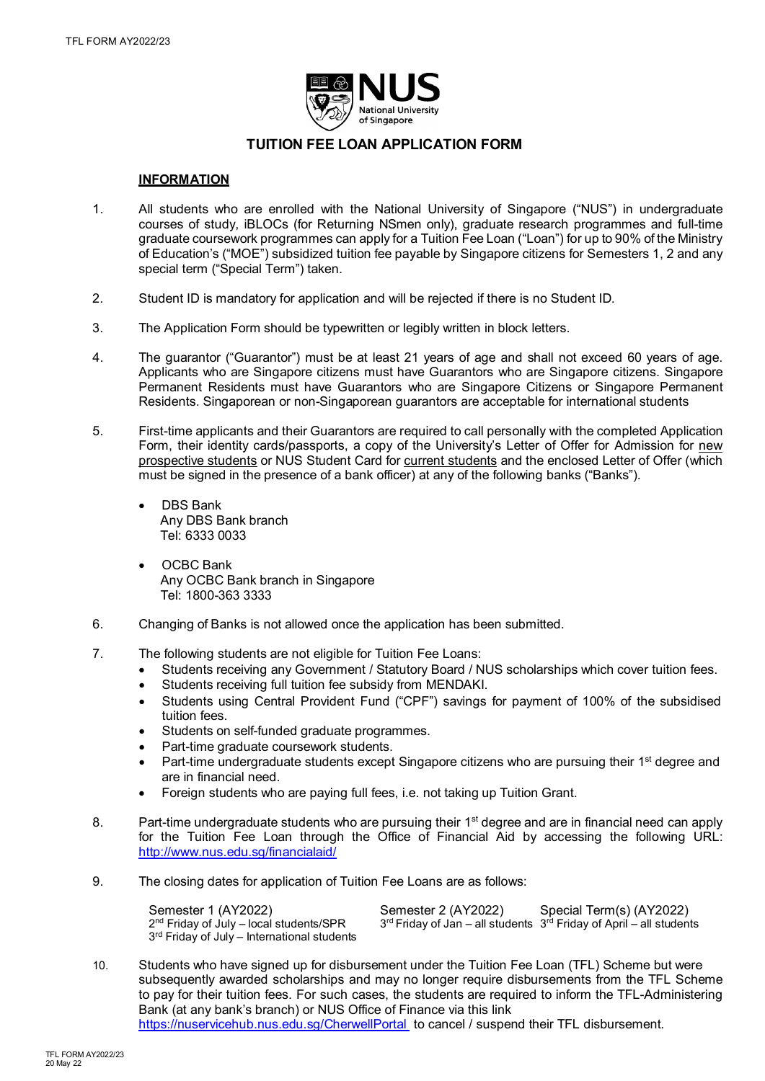

# **TUITION FEE LOAN APPLICATION FORM**

## **INFORMATION**

- 1. All students who are enrolled with the National University of Singapore ("NUS") in undergraduate courses of study, iBLOCs (for Returning NSmen only), graduate research programmes and full-time graduate coursework programmes can apply for a Tuition Fee Loan ("Loan") for up to 90% of the Ministry of Education's ("MOE") subsidized tuition fee payable by Singapore citizens for Semesters 1, 2 and any special term ("Special Term") taken.
- 2. Student ID is mandatory for application and will be rejected if there is no Student ID.
- 3. The Application Form should be typewritten or legibly written in block letters.
- 4. The guarantor ("Guarantor") must be at least 21 years of age and shall not exceed 60 years of age. Applicants who are Singapore citizens must have Guarantors who are Singapore citizens. Singapore Permanent Residents must have Guarantors who are Singapore Citizens or Singapore Permanent Residents. Singaporean or non-Singaporean guarantors are acceptable for international students
- 5. First-time applicants and their Guarantors are required to call personally with the completed Application Form, their identity cards/passports, a copy of the University's Letter of Offer for Admission for new prospective students or NUS Student Card for current students and the enclosed Letter of Offer (which must be signed in the presence of a bank officer) at any of the following banks ("Banks").
	- DBS Bank Any DBS Bank branch Tel: 6333 0033
	- OCBC Bank Any OCBC Bank branch in Singapore Tel: 1800-363 3333
- 6. Changing of Banks is not allowed once the application has been submitted.
- 7. The following students are not eligible for Tuition Fee Loans:
	- Students receiving any Government / Statutory Board / NUS scholarships which cover tuition fees.
	- Students receiving full tuition fee subsidy from MENDAKI.
	- Students using Central Provident Fund ("CPF") savings for payment of 100% of the subsidised tuition fees.
	- Students on self-funded graduate programmes.
	- Part-time graduate coursework students.
	- Part-time undergraduate students except Singapore citizens who are pursuing their 1<sup>st</sup> degree and are in financial need.
	- Foreign students who are paying full fees, i.e. not taking up Tuition Grant.
- 8. Part-time undergraduate students who are pursuing their 1<sup>st</sup> degree and are in financial need can apply for the Tuition Fee Loan through the Office of Financial Aid by accessing the following URL: <http://www.nus.edu.sg/financialaid/>
- 9. The closing dates for application of Tuition Fee Loans are as follows:

| Semester 1 (AY2022)                           | Semester 2 (AY2022) | Special Term(s) (AY2022)                                                |
|-----------------------------------------------|---------------------|-------------------------------------------------------------------------|
| $2nd$ Friday of July – local students/SPR     |                     | $3rd$ Friday of Jan – all students $3rd$ Friday of April – all students |
| $3rd$ Friday of July – International students |                     |                                                                         |

10. Students who have signed up for disbursement under the Tuition Fee Loan (TFL) Scheme but were subsequently awarded scholarships and may no longer require disbursements from the TFL Scheme to pay for their tuition fees. For such cases, the students are required to inform the TFL-Administering Bank (at any bank's branch) or NUS Office of Finance via this link

<https://nuservicehub.nus.edu.sg/CherwellPortal> to cancel / suspend their TFL disbursement.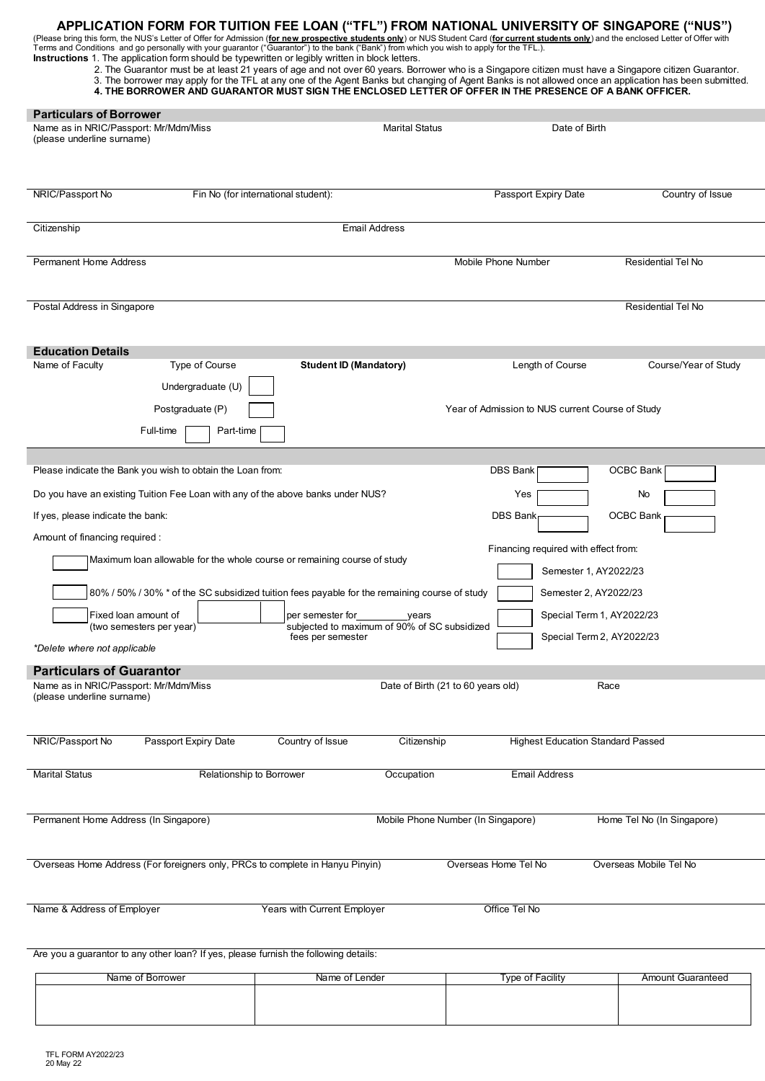**APPLICATION FORM FOR TUITION FEE LOAN ("TFL") FROM NATIONAL UNIVERSITY OF SINGAPORE ("NUS")**<br>(Please bring this form, the NUS's Letter of Offer for Admission (<u>for new prospective students only</u>) or NUS Student Card (<u>for</u>

| <b>Instructions</b> 1. The application form should be typewritten or legibly written in block letters. |  |  |  |  |  |  |  |  |  |  |  |
|--------------------------------------------------------------------------------------------------------|--|--|--|--|--|--|--|--|--|--|--|
|--------------------------------------------------------------------------------------------------------|--|--|--|--|--|--|--|--|--|--|--|

2. The Guarantor must be at least 21 years of age and not over 60 years. Borrower who is a Singapore citizen must have a Singapore citizen Guarantor. 3. The borrower may apply for the TFL at any one of the Agent Banks but changing of Agent Banks is not allowed once an application has been submitted. **4. THE BORROWER AND GUARANTOR MUST SIGN THE ENCLOSED LETTER OF OFFER IN THE PRESENCE OF A BANK OFFICER.**

| <b>Particulars of Borrower</b><br>Name as in NRIC/Passport: Mr/Mdm/Miss<br>(please underline surname) |                                                                                               |                                       | <b>Marital Status</b>                                 | Date of Birth                                    |                                                        |
|-------------------------------------------------------------------------------------------------------|-----------------------------------------------------------------------------------------------|---------------------------------------|-------------------------------------------------------|--------------------------------------------------|--------------------------------------------------------|
| NRIC/Passport No                                                                                      | Fin No (for international student):                                                           |                                       |                                                       | Passport Expiry Date                             | Country of Issue                                       |
| Citizenship                                                                                           |                                                                                               |                                       | <b>Email Address</b>                                  |                                                  |                                                        |
| <b>Permanent Home Address</b>                                                                         |                                                                                               |                                       |                                                       | Mobile Phone Number                              | Residential Tel No                                     |
| Postal Address in Singapore                                                                           |                                                                                               |                                       |                                                       |                                                  | <b>Residential Tel No</b>                              |
| <b>Education Details</b><br>Name of Faculty                                                           | Type of Course                                                                                | <b>Student ID (Mandatory)</b>         |                                                       | Length of Course                                 | Course/Year of Study                                   |
|                                                                                                       | Undergraduate (U)                                                                             |                                       |                                                       |                                                  |                                                        |
| Full-time                                                                                             | Postgraduate (P)<br>Part-time                                                                 |                                       |                                                       | Year of Admission to NUS current Course of Study |                                                        |
| Please indicate the Bank you wish to obtain the Loan from:                                            |                                                                                               |                                       |                                                       | DBS Bank                                         | OCBC Bank                                              |
| Do you have an existing Tuition Fee Loan with any of the above banks under NUS?                       |                                                                                               |                                       |                                                       | Yes                                              | No                                                     |
| If yes, please indicate the bank:                                                                     |                                                                                               |                                       |                                                       | <b>DBS Bank</b>                                  | <b>OCBC Bank</b>                                       |
| Amount of financing required :                                                                        |                                                                                               |                                       |                                                       | Financing required with effect from:             |                                                        |
|                                                                                                       | Maximum loan allowable for the whole course or remaining course of study                      |                                       |                                                       |                                                  | Semester 1, AY2022/23                                  |
|                                                                                                       | 80% / 50% / 30% * of the SC subsidized tuition fees payable for the remaining course of study |                                       |                                                       |                                                  | Semester 2, AY2022/23                                  |
| Fixed loan amount of<br>(two semesters per year)                                                      |                                                                                               | per semester for<br>fees per semester | years<br>subjected to maximum of 90% of SC subsidized |                                                  | Special Term 1, AY2022/23<br>Special Term 2, AY2022/23 |
| *Delete where not applicable                                                                          |                                                                                               |                                       |                                                       |                                                  |                                                        |
| <b>Particulars of Guarantor</b><br>Name as in NRIC/Passport: Mr/Mdm/Miss                              |                                                                                               |                                       | Date of Birth (21 to 60 years old)                    |                                                  | Race                                                   |
| (please underline surname)                                                                            |                                                                                               |                                       |                                                       |                                                  |                                                        |
| NRIC/Passport No                                                                                      | Passport Expiry Date                                                                          | Country of Issue                      | Citizenship                                           | <b>Highest Education Standard Passed</b>         |                                                        |
| <b>Marital Status</b>                                                                                 | Relationship to Borrower                                                                      |                                       | Occupation                                            | <b>Email Address</b>                             |                                                        |
| Permanent Home Address (In Singapore)                                                                 |                                                                                               |                                       | Mobile Phone Number (In Singapore)                    |                                                  | Home Tel No (In Singapore)                             |
| Overseas Home Address (For foreigners only, PRCs to complete in Hanyu Pinyin)                         |                                                                                               |                                       |                                                       | Overseas Home Tel No                             | Overseas Mobile Tel No                                 |
| Name & Address of Employer                                                                            |                                                                                               | Years with Current Employer           |                                                       | Office Tel No                                    |                                                        |
| Are you a guarantor to any other loan? If yes, please furnish the following details:                  |                                                                                               |                                       |                                                       |                                                  |                                                        |

| Name of Borrower | Name of Lender | Type of Facility | <b>Amount Guaranteed</b> |
|------------------|----------------|------------------|--------------------------|
|                  |                |                  |                          |
|                  |                |                  |                          |
|                  |                |                  |                          |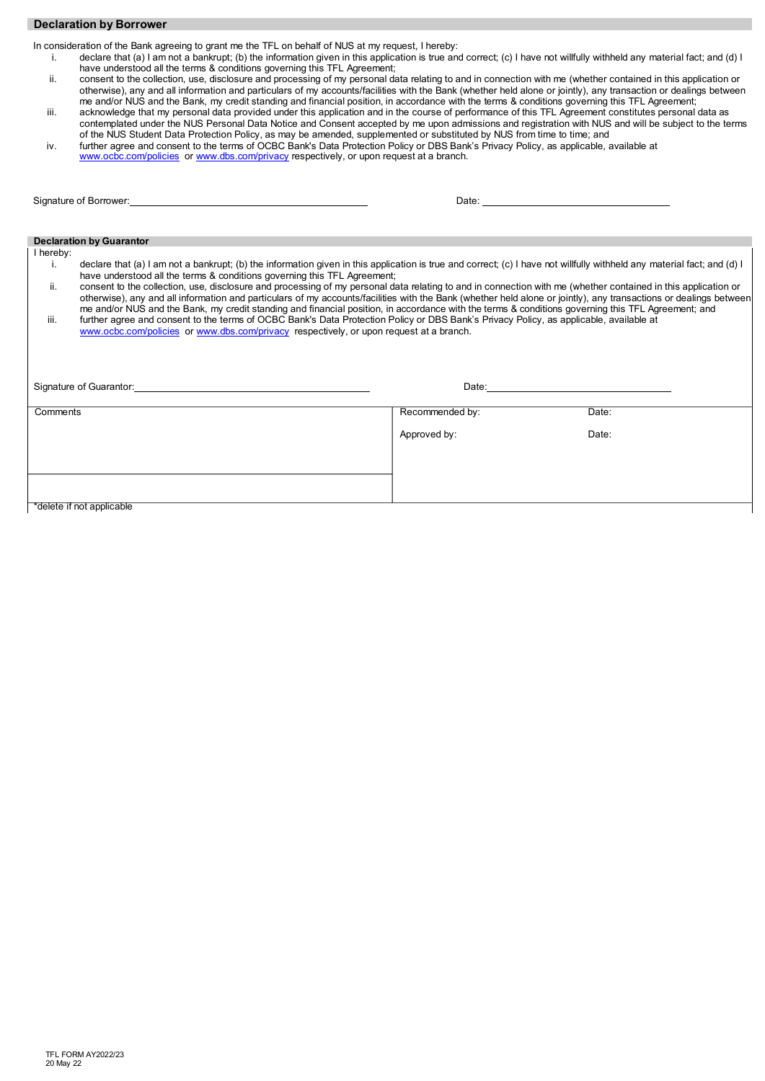## **Declaration by Borrower**

In consideration of the Bank agreeing to grant me the TFL on behalf of NUS at my request, I hereby:

- i. declare that (a) I am not a bankrupt; (b) the information given in this application is true and correct; (c) I have not willfully withheld any material fact; and (d) I have understood all the terms & conditions governing this TFL Agreement;
- ii. consent to the collection, use, disclosure and processing of my personal data relating to and in connection with me (whether contained in this application or otherwise), any and all information and particulars of my accounts/facilities with the Bank (whether held alone or jointly), any transaction or dealings between me and/or NUS and the Bank, my credit standing and financial position, in accordance with the terms & conditions governing this TFL Agreement;
- iii. acknowledge that my personal data provided under this application and in the course of performance of this TFL Agreement constitutes personal data as contemplated under the NUS Personal Data Notice and Consent accepted by me upon admissions and registration with NUS and will be subject to the terms
- of the NUS Student Data Protection Policy, as may be amended, supplemented or substituted by NUS from time to time; and iv. further agree and consent to the terms of OCBC Bank's Data Protection Policy or DBS Bank's Privacy Policy, as applicable, available at [www.ocbc.com/policies](http://www.ocbc.com/policies) or [www.dbs.com/privacy](http://www.dbs.com/privacy) respectively, or upon request at a branch.

| Signature of Borrower: Signature of Borrower:                                                                                                                                                                                                                                                                                                                                                                                                                                                   |                                                                                                                                                                                                                                |       |
|-------------------------------------------------------------------------------------------------------------------------------------------------------------------------------------------------------------------------------------------------------------------------------------------------------------------------------------------------------------------------------------------------------------------------------------------------------------------------------------------------|--------------------------------------------------------------------------------------------------------------------------------------------------------------------------------------------------------------------------------|-------|
|                                                                                                                                                                                                                                                                                                                                                                                                                                                                                                 |                                                                                                                                                                                                                                |       |
|                                                                                                                                                                                                                                                                                                                                                                                                                                                                                                 |                                                                                                                                                                                                                                |       |
| <b>Declaration by Guarantor</b>                                                                                                                                                                                                                                                                                                                                                                                                                                                                 |                                                                                                                                                                                                                                |       |
| I hereby:<br>declare that (a) I am not a bankrupt; (b) the information given in this application is true and correct; (c) I have not willfully withheld any material fact; and (d) I<br>i.<br>have understood all the terms & conditions governing this TFL Agreement;                                                                                                                                                                                                                          |                                                                                                                                                                                                                                |       |
| consent to the collection, use, disclosure and processing of my personal data relating to and in connection with me (whether contained in this application or<br>ii.<br>otherwise), any and all information and particulars of my accounts/facilities with the Bank (whether held alone or jointly), any transactions or dealings between<br>me and/or NUS and the Bank, my credit standing and financial position, in accordance with the terms & conditions governing this TFL Agreement; and |                                                                                                                                                                                                                                |       |
| further agree and consent to the terms of OCBC Bank's Data Protection Policy or DBS Bank's Privacy Policy, as applicable, available at<br>iii.<br>www.ocbc.com/policies or www.dbs.com/privacy respectively, or upon request at a branch.                                                                                                                                                                                                                                                       |                                                                                                                                                                                                                                |       |
|                                                                                                                                                                                                                                                                                                                                                                                                                                                                                                 |                                                                                                                                                                                                                                |       |
| Signature of Guarantor: <b>Example 20</b> No. 2014 19:30 No. 2014 19:30:40 No. 2014 19:30:40 No. 2014 19:30:40 No. 2014 19:30:40 No. 2014 19:30:40 No. 2014 19:30:40 No. 2014 19:30:40 No. 2014 19:30:40 No. 2014 19:30:40 No. 2014                                                                                                                                                                                                                                                             | Date: the contract of the contract of the contract of the contract of the contract of the contract of the contract of the contract of the contract of the contract of the contract of the contract of the contract of the cont |       |
|                                                                                                                                                                                                                                                                                                                                                                                                                                                                                                 |                                                                                                                                                                                                                                |       |
| Comments                                                                                                                                                                                                                                                                                                                                                                                                                                                                                        | Recommended by:                                                                                                                                                                                                                | Date: |
|                                                                                                                                                                                                                                                                                                                                                                                                                                                                                                 | Approved by:                                                                                                                                                                                                                   | Date: |
|                                                                                                                                                                                                                                                                                                                                                                                                                                                                                                 |                                                                                                                                                                                                                                |       |
|                                                                                                                                                                                                                                                                                                                                                                                                                                                                                                 |                                                                                                                                                                                                                                |       |
|                                                                                                                                                                                                                                                                                                                                                                                                                                                                                                 |                                                                                                                                                                                                                                |       |
| *delete if not applicable                                                                                                                                                                                                                                                                                                                                                                                                                                                                       |                                                                                                                                                                                                                                |       |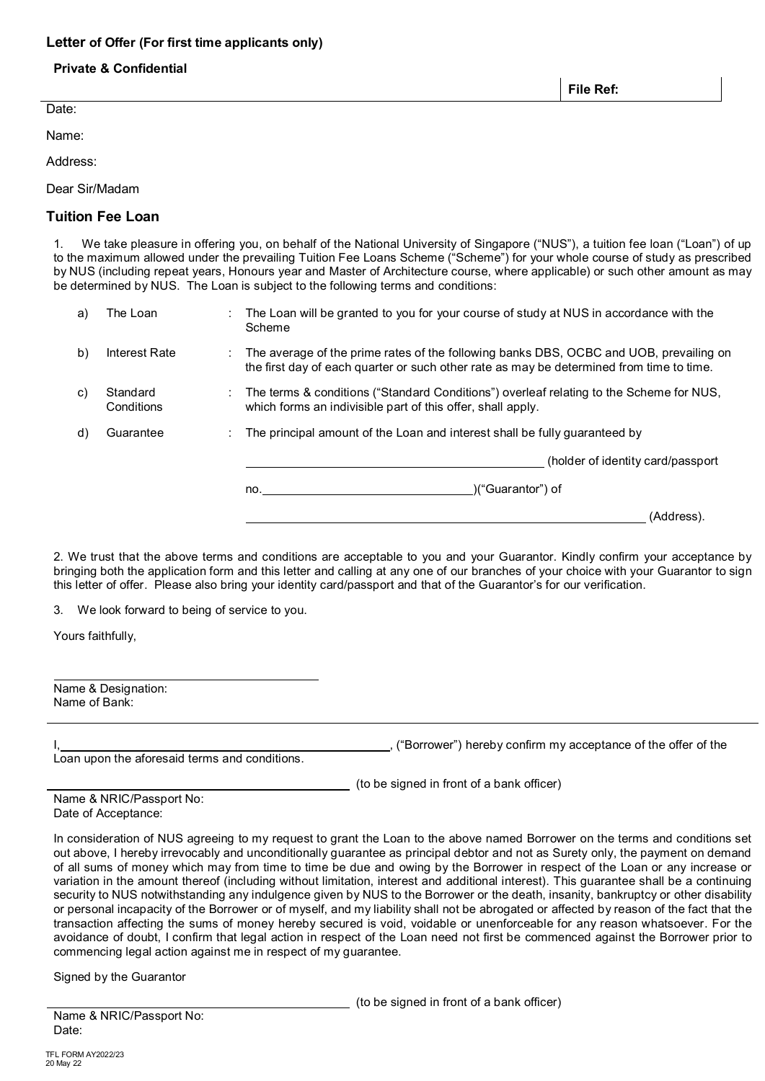## **Letter of Offer (For first time applicants only)**

## **Private & Confidential**

Date:

Name:

Address:

Dear Sir/Madam

# **Tuition Fee Loan**

1. We take pleasure in offering you, on behalf of the National University of Singapore ("NUS"), a tuition fee loan ("Loan") of up to the maximum allowed under the prevailing Tuition Fee Loans Scheme ("Scheme") for your whole course of study as prescribed by NUS (including repeat years, Honours year and Master of Architecture course, where applicable) or such other amount as may be determined by NUS. The Loan is subject to the following terms and conditions:

| a) | The Loan               | The Loan will be granted to you for your course of study at NUS in accordance with the<br>Scheme                                                                                   |
|----|------------------------|------------------------------------------------------------------------------------------------------------------------------------------------------------------------------------|
| b) | Interest Rate          | The average of the prime rates of the following banks DBS, OCBC and UOB, prevailing on<br>the first day of each quarter or such other rate as may be determined from time to time. |
| C) | Standard<br>Conditions | The terms & conditions ("Standard Conditions") overleaf relating to the Scheme for NUS,<br>which forms an indivisible part of this offer, shall apply.                             |
| d) | Guarantee              | The principal amount of the Loan and interest shall be fully quaranteed by                                                                                                         |
|    |                        | (holder of identity card/passport)                                                                                                                                                 |
|    |                        | )("Guarantor") of<br>no.                                                                                                                                                           |
|    |                        | (Address).                                                                                                                                                                         |

2. We trust that the above terms and conditions are acceptable to you and your Guarantor. Kindly confirm your acceptance by bringing both the application form and this letter and calling at any one of our branches of your choice with your Guarantor to sign this letter of offer. Please also bring your identity card/passport and that of the Guarantor's for our verification.

3. We look forward to being of service to you.

Yours faithfully,

| Name & Designation: |  |
|---------------------|--|
| Name of Bank:       |  |
|                     |  |

Loan upon the aforesaid terms and conditions.

("Borrower") hereby confirm my acceptance of the offer of the

(to be signed in front of a bank officer)

| Name & NRIC/Passport No: |
|--------------------------|
| Date of Acceptance:      |

In consideration of NUS agreeing to my request to grant the Loan to the above named Borrower on the terms and conditions set out above, I hereby irrevocably and unconditionally guarantee as principal debtor and not as Surety only, the payment on demand of all sums of money which may from time to time be due and owing by the Borrower in respect of the Loan or any increase or variation in the amount thereof (including without limitation, interest and additional interest). This guarantee shall be a continuing security to NUS notwithstanding any indulgence given by NUS to the Borrower or the death, insanity, bankruptcy or other disability or personal incapacity of the Borrower or of myself, and my liability shall not be abrogated or affected by reason of the fact that the transaction affecting the sums of money hereby secured is void, voidable or unenforceable for any reason whatsoever. For the avoidance of doubt, I confirm that legal action in respect of the Loan need not first be commenced against the Borrower prior to commencing legal action against me in respect of my guarantee.

Signed by the Guarantor

(to be signed in front of a bank officer)

Name & NRIC/Passport No: Date:

**File Ref:**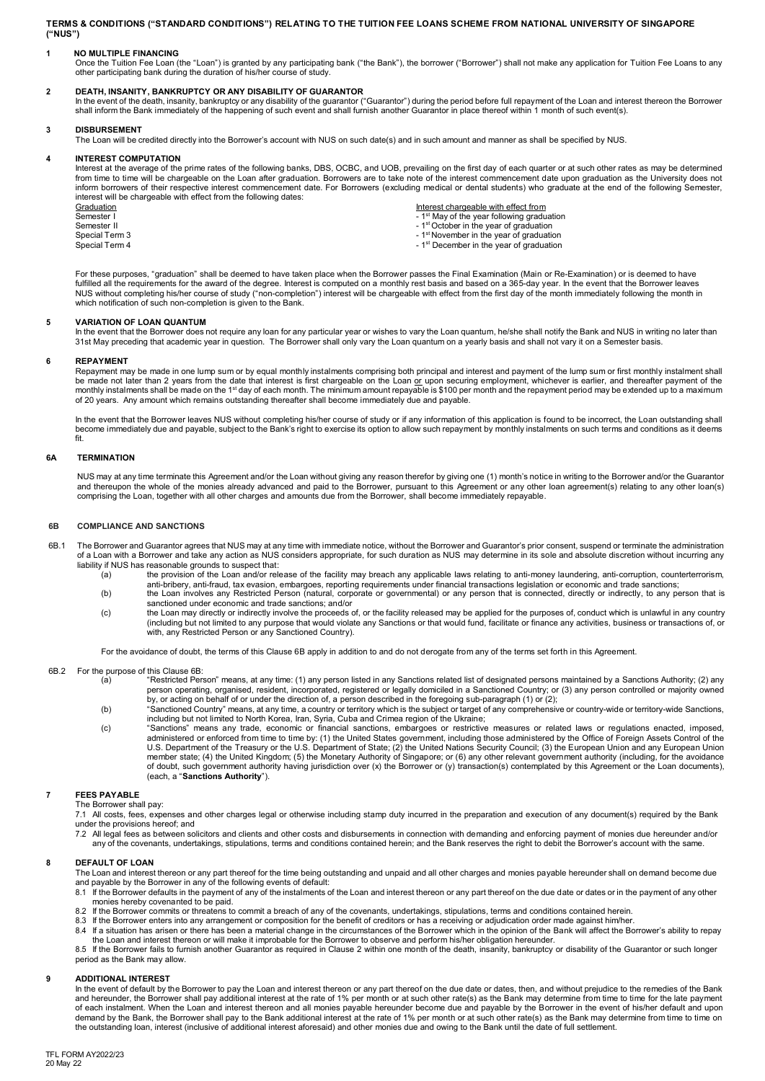**TERMS & CONDITIONS ("STANDARD CONDITIONS") RELATING TO THE TUITION FEE LOANS SCHEME FROM NATIONAL UNIVERSITY OF SINGAPORE ("NUS")**

**1 NO MULTIPLE FINANCING**<br>Once the Tuition Fee Loan (the "Loan") is granted by any participating bank ("the Bank"), the borrower ("Borrower") shall not make any application for Tuition Fee Loans to any<br>other participating

DEATH**, INSANITY, BANKRUPTCY OR ANY DISABILITY OF GUARANTOR**<br>In the event of the death, insanity, bankruptcy or any disability of the guarantor ("Guarantor") during the period before full repayment of the Loan and interest

### **3 DISBURSEMENT**

The Loan will be credited directly into the Borrower's account with NUS on such date(s) and in such amount and manner as shall be specified by NUS.

#### **4 INTEREST COMPUTATION**

Interest at the average of the prime rates of the following banks, DBS, OCBC, and UOB, prevailing on the first day of each quarter or at such other rates as may be determined from time to time will be chargeable on the Loan after graduation. Borrowers are to take note of the interest commencement date upon graduation as the University does not inform borrowers of their respective interest commencement date. For Borrowers (excluding medical or dental students) who graduate at the end of the following Semester, interest will be chargeable with effect from the following dates:

Graduation interest chargeable with effect from interest chargeable with effect from interest chargeable with effect from interest of the year following graduation  $\sim 1^{\rm st}$  May of the year following graduation Semester I<br>
Semester II - 1st October in the year of graduation<br>
Semester II - 1<sup>st</sup> October in the year of graduation<br>
Special Term 3 - 1<sup>st</sup> November in the year of graduation Special Term 3 - 1st November in the year of graduation<br>Special Term 4 - 1st November in the year of graduation<br>Special Term 4

- 
- 
- 1<sup>st</sup> December in the year of graduation

For these purposes, "graduation" shall be deemed to have taken place when the Borrower passes the Final Examination (Main or Re-Examination) or is deemed to have fulfilled all the requirements for the award of the degree. Interest is computed on a monthly rest basis and based on a 365-day year. In the event that the Borrower leaves NUS without completing his/her course of study ("non-completion") interest will be chargeable with effect from the first day of the month immediately following the month in which notification of such non-completion is given to the Bank.

#### **5 VARIATION OF LOAN QUANTUM**

In the event that the Borrower does not require any loan for any particular year or wishes to vary the Loan quantum, he/she shall notify the Bank and NUS in writing no later than 31st May preceding that academic year in question. The Borrower shall only vary the Loan quantum on a yearly basis and shall not vary it on a Semester basis.

**REPAYMENT**<br>Repayment may be made in one lump sum or by equal monthly instalments comprising both principal and interest and payment of the lump sum or first monthly instalment shall<br>be made not later than 2 years from the

In the event that the Borrower leaves NUS without completing his/her course of study or if any information of this application is found to be incorrect, the Loan outstanding shall become immediately due and payable, subject to the Bank's right to exercise its option to allow such repayment by monthly instalments on such terms and conditions as it deems fit.

### **6A TERMINATION**

NUS may at any time terminate this Agreement and/or the Loan without giving any reason therefor by giving one (1) month's notice in writing to the Borrower and/or the Guarantor and thereupon the whole of the monies already advanced and paid to the Borrower, pursuant to this Agreement or any other loan agreement(s) relating to any other loan(s) comprising the Loan, together with all other charges and amounts due from the Borrower, shall become immediately repayable.

#### **6B COMPLIANCE AND SANCTIONS**

- The Borrower and Guarantor agrees that NUS may at any time with immediate notice, without the Borrower and Guarantor's prior consent, suspend or terminate the administration of a Loan with a Borrower and take any action as NUS considers appropriate, for such duration as NUS may determine in its sole and absolute discretion without incurring any liability if NUS has reasonable grounds to suspect that:
	- (a) the provision of the Loan and/or release of the facility may breach any applicable laws relating to anti-money laundering, anti-corruption, counterterrorism,<br>anti-bribery, anti-fraud, tax evasion, embargoes, reporting
	- (b) the Loan involves any Restricted Person (natural, corporate or governmental) or any person that is connected, directly or indirectly, to any person that is sanctioned under economic and trade sanctions; and/or
	- (c) the Loan may directly or indirectly involve the proceeds of, or the facility released may be applied for the purposes of, conduct which is unlawful in any country (including but not limited to any purpose that would violate any Sanctions or that would fund, facilitate or finance any activities, business or transactions of, or with, any Restricted Person or any Sanctioned Country).

For the avoidance of doubt, the terms of this Clause 6B apply in addition to and do not derogate from any of the terms set forth in this Agreement.

- 6B.2 For the purpose of this Clause 6B:
	- (a) "Restricted Person" means, at any time: (1) any person listed in any Sanctions related list of designated persons maintained by a Sanctions Authority; (2) any person operating, organised, resident, incorporated, registered or legally domiciled in a Sanctioned Country; or (3) any person controlled or majority owned<br>by, or acting on behalf of or under the direction of, a person d
	- (b) "Sanctioned Country" means, at any time, a country or territory which is the subject or target of any comprehensive or country-wide or territory-wide Sanctions,
	- including but not limited to North Korea, Iran, Syria, Cuba and Crimea region of the Ukraine;<br>(c) "Sanctions" means any trade, economic or financial sanctions, embargoes or restrictive measures or related laws or regul administered or enforced from time to time by: (1) the United States government, including those administered by the Office of Foreign Assets Control of the U.S. Department of the Treasury or the U.S. Department of State; (2) the United Nations Security Council; (3) the European Union and any European Union<br>member state; (4) the United Kingdom; (5) the Monetary Authority of Si of doubt, such government authority having jurisdiction over (x) the Borrower or (y) transaction(s) contemplated by this Agreement or the Loan documents), (each, a "**Sanctions Authority**").

#### **7 FEES PAYABLE**

The Borrower shall pay: 7.1 All costs, fees, expenses and other charges legal or otherwise including stamp duty incurred in the preparation and execution of any document(s) required by the Bank

- under the provisions hereof; and
- 7.2 All legal fees as between solicitors and clients and other costs and disbursements in connection with demanding and enforcing payment of monies due hereunder and/or any of the covenants, undertakings, stipulations, terms and conditions contained herein; and the Bank reserves the right to debit the Borrower's account with the same.

### **8 DEFAULT OF LOAN**

The Loan and interest thereon or any part thereof for the time being outstanding and unpaid and all other charges and monies payable hereunder shall on demand become due and payable by the Borrower in any of the following events of default:

- 8.1 If the Borrower defaults in the payment of any of the instalments of the Loan and interest thereon or any part thereof on the due date or dates or in the payment of any other monies hereby covenanted to be paid.
- 8.2 If the Borrower commits or threatens to commit a breach of any of the covenants, undertakings, stipulations, terms and conditions contained herein.
- 
- 8.3 If the Borrower enters into any arrangement or composition for the benefit of creditors or has a receiving or adjudication order made against him/her.<br>8.4 If a situation has arisen or there has been a material change i

8.5 If the Borrower fails to furnish another Guarantor as required in Clause 2 within one month of the death, insanity, bankruptcy or disability of the Guarantor or such longer period as the Bank may allow.

#### **9 ADDITIONAL INTEREST**

In the event of default by the Borrower to pay the Loan and interest thereon or any part thereof on the due date or dates, then, and without prejudice to the remedies of the Bank<br>and hereunder, the Borrower shall pay addit of each instalment. When the Loan and interest thereon and all monies payable hereunder become due and payable by the Borrower in the event of his/her default and upon<br>demand by the Bank, the Borrower shall pay to the Bank the outstanding loan, interest (inclusive of additional interest aforesaid) and other monies due and owing to the Bank until the date of full settlement.